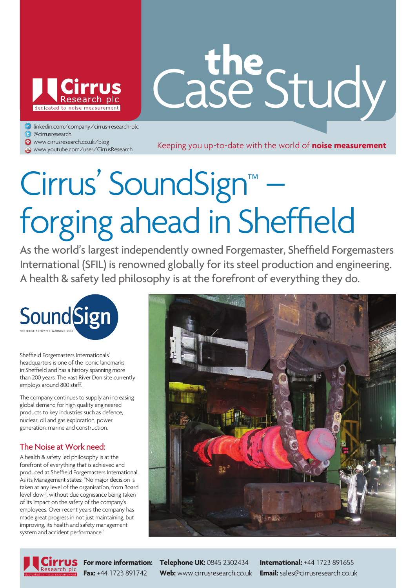

# Case Study **the**

linkedin.com/company/cirrus-research-plc

- @cirrusresearch
- www.cirrusresearch.co.uk/blog

**www.cirrusresearch.co.uk/blog** www.cirrusresearch.co.uk/blog<br>@ www.youtube.com/user/CirrusResearch Keeping you up-to-date with the world of **noise measurement** 

# Cirrus' SoundSign™ – forging ahead in Sheffield

As the world's largest independently owned Forgemaster, Sheffield Forgemasters International (SFIL) is renowned globally for its steel production and engineering. A health & safety led philosophy is at the forefront of everything they do.



Sheffield Forgemasters Internationals' headquarters is one of the iconic landmarks in Sheffield and has a history spanning more than 200 years. The vast River Don site currently employs around 800 staff.

The company continues to supply an increasing global demand for high quality engineered products to key industries such as defence, nuclear, oil and gas exploration, power generation, marine and construction.

### The Noise at Work need:

A health & safety led philosophy is at the forefront of everything that is achieved and produced at Sheffield Forgemasters International. As its Management states: "No major decision is taken at any level of the organisation, from Board level down, without due cognisance being taken of its impact on the safety of the company's employees. Over recent years the company has made great progress in not just maintaining, but improving, its health and safety management system and accident performance."



**For more information: Telephone UK:** 0845 2302434 **International:** +44 1723 891655 **Fax:** +44 1723 891742 **Web:** www.cirrusresearch.co.uk **Email:** sales@cirrusresearch.co.uk